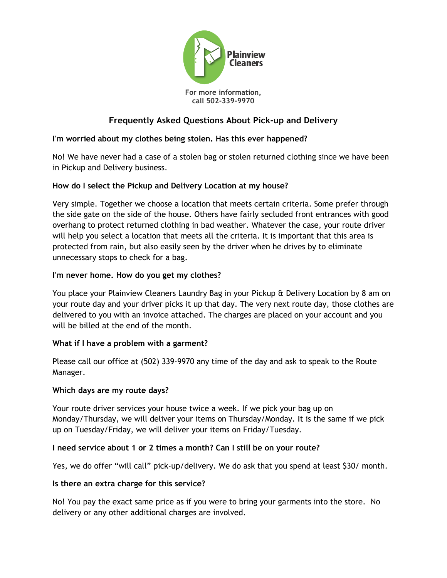

# **Frequently Asked Questions About Pick-up and Delivery**

## **I'm worried about my clothes being stolen. Has this ever happened?**

No! We have never had a case of a stolen bag or stolen returned clothing since we have been in Pickup and Delivery business.

### **How do I select the Pickup and Delivery Location at my house?**

Very simple. Together we choose a location that meets certain criteria. Some prefer through the side gate on the side of the house. Others have fairly secluded front entrances with good overhang to protect returned clothing in bad weather. Whatever the case, your route driver will help you select a location that meets all the criteria. It is important that this area is protected from rain, but also easily seen by the driver when he drives by to eliminate unnecessary stops to check for a bag.

### **I'm never home. How do you get my clothes?**

You place your Plainview Cleaners Laundry Bag in your Pickup & Delivery Location by 8 am on your route day and your driver picks it up that day. The very next route day, those clothes are delivered to you with an invoice attached. The charges are placed on your account and you will be billed at the end of the month.

#### **What if I have a problem with a garment?**

Please call our office at (502) 339-9970 any time of the day and ask to speak to the Route Manager.

#### **Which days are my route days?**

Your route driver services your house twice a week. If we pick your bag up on Monday/Thursday, we will deliver your items on Thursday/Monday. It is the same if we pick up on Tuesday/Friday, we will deliver your items on Friday/Tuesday.

#### **I need service about 1 or 2 times a month? Can I still be on your route?**

Yes, we do offer "will call" pick-up/delivery. We do ask that you spend at least \$30/ month.

#### **Is there an extra charge for this service?**

No! You pay the exact same price as if you were to bring your garments into the store. No delivery or any other additional charges are involved.